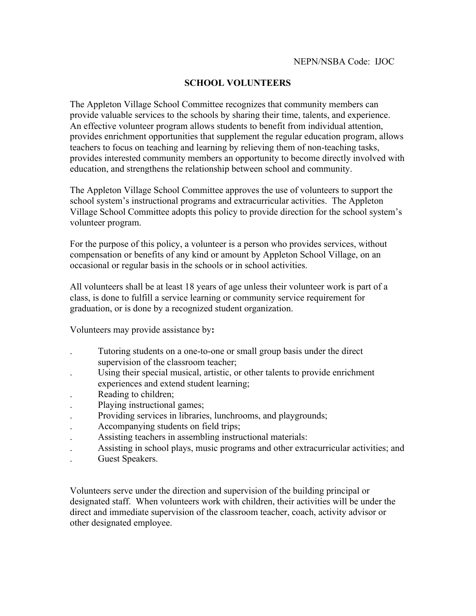## **SCHOOL VOLUNTEERS**

The Appleton Village School Committee recognizes that community members can provide valuable services to the schools by sharing their time, talents, and experience. An effective volunteer program allows students to benefit from individual attention, provides enrichment opportunities that supplement the regular education program, allows teachers to focus on teaching and learning by relieving them of non-teaching tasks, provides interested community members an opportunity to become directly involved with education, and strengthens the relationship between school and community.

The Appleton Village School Committee approves the use of volunteers to support the school system's instructional programs and extracurricular activities. The Appleton Village School Committee adopts this policy to provide direction for the school system's volunteer program.

For the purpose of this policy, a volunteer is a person who provides services, without compensation or benefits of any kind or amount by Appleton School Village, on an occasional or regular basis in the schools or in school activities.

All volunteers shall be at least 18 years of age unless their volunteer work is part of a class, is done to fulfill a service learning or community service requirement for graduation, or is done by a recognized student organization.

Volunteers may provide assistance by**:**

- . Tutoring students on a one-to-one or small group basis under the direct supervision of the classroom teacher;
- . Using their special musical, artistic, or other talents to provide enrichment experiences and extend student learning;
- Reading to children;
- . Playing instructional games;
- . Providing services in libraries, lunchrooms, and playgrounds;
- . Accompanying students on field trips;
- . Assisting teachers in assembling instructional materials:
- . Assisting in school plays, music programs and other extracurricular activities; and
- . Guest Speakers.

Volunteers serve under the direction and supervision of the building principal or designated staff. When volunteers work with children, their activities will be under the direct and immediate supervision of the classroom teacher, coach, activity advisor or other designated employee.